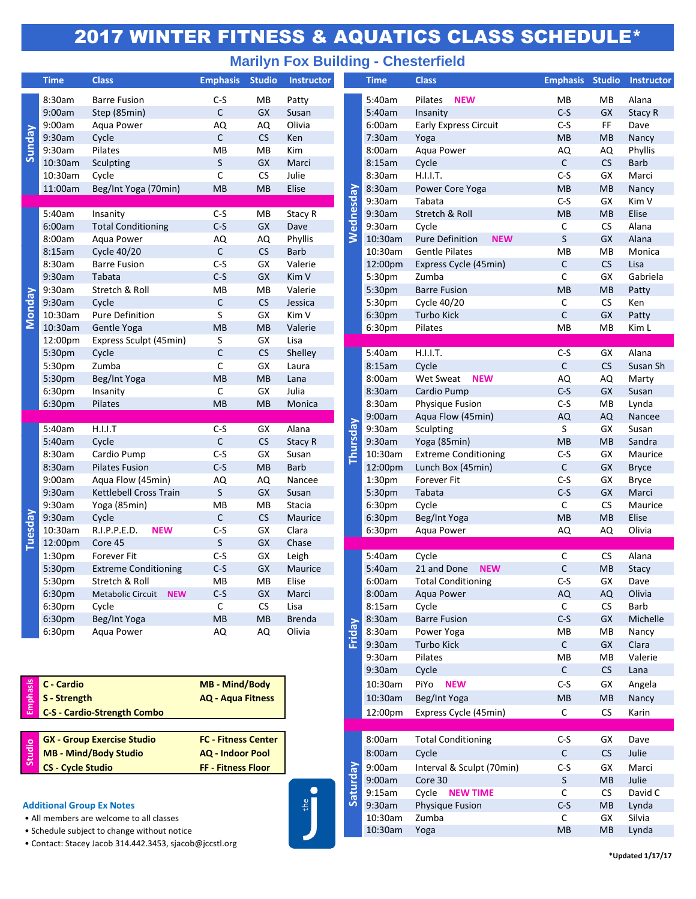## 2017 WINTER FITNESS & AQUATICS CLASS SCHEDULE\*

## **Marilyn Fox Building - Chesterfield**

|               | <b>Time</b> | <b>Class</b>                | <b>Emphasis</b>                       | <b>Studio</b> | <b>Instructor</b> |                 | <b>Time</b>        | <b>Class</b>                         | <b>Emphasis Studio</b> |                 | Insti                    |
|---------------|-------------|-----------------------------|---------------------------------------|---------------|-------------------|-----------------|--------------------|--------------------------------------|------------------------|-----------------|--------------------------|
| Sunday        | 8:30am      | <b>Barre Fusion</b>         | $C-S$                                 | MB            | Patty             |                 | 5:40am             | Pilates<br><b>NEW</b>                | MB                     | МB              | Alan                     |
|               | 9:00am      | Step (85min)                | $\mathsf{C}$                          | GX            | Susan             |                 | 5:40am             | Insanity                             | $C-S$                  | GX              | <b>Stac</b>              |
|               | 9:00am      | Aqua Power                  | AQ                                    | AQ            | Olivia            |                 | 6:00am             | <b>Early Express Circuit</b>         | $C-S$                  | FF              | Dave                     |
|               | 9:30am      | Cycle                       | $\mathsf{C}$                          | CS            | Ken               |                 | 7:30am             | Yoga                                 | MB                     | MB              | Nano                     |
|               | 9:30am      | Pilates                     | MB                                    | MB            | Kim               |                 | 8:00am             | Aqua Power                           | AQ                     | AQ              | Phyl                     |
|               | 10:30am     | Sculpting                   | S                                     | GX            | Marci             |                 | 8:15am             | Cycle                                | $\mathsf{C}$           | CS              | <b>Barb</b>              |
|               | 10:30am     | Cycle                       | C                                     | <b>CS</b>     | Julie             |                 | 8:30am             | H.I.I.T.                             | $C-S$                  | GX              | Mar                      |
|               | 11:00am     | Beg/Int Yoga (70min)        | <b>MB</b>                             | <b>MB</b>     | Elise             |                 | 8:30am             | Power Core Yoga                      | MB                     | MB              | <b>Nan</b>               |
|               |             |                             |                                       |               |                   | Wednesday       | 9:30am             | Tabata                               | $C-S$                  | GX              | Kim                      |
|               | 5:40am      | Insanity                    | $C-S$                                 | MB            | Stacy R           |                 | 9:30am             | Stretch & Roll                       | MB                     | <b>MB</b>       | Elise                    |
|               | 6:00am      | <b>Total Conditioning</b>   | $C-S$                                 | GX            | Dave              |                 | 9:30am             | Cycle                                | $\mathsf C$            | CS              | Alan                     |
|               | 8:00am      | Aqua Power                  | AQ                                    | AQ            | Phyllis           |                 | 10:30am            | <b>Pure Definition</b><br><b>NEW</b> | $\sf S$                | GX              | Alan                     |
| <b>Monday</b> | 8:15am      | Cycle 40/20                 | $\mathsf{C}$                          | CS            | <b>Barb</b>       |                 | 10:30am            | <b>Gentle Pilates</b>                | MB                     | MB              | Mor                      |
|               | 8:30am      | <b>Barre Fusion</b>         | $C-S$                                 | GX            | Valerie           |                 | 12:00pm            | Express Cycle (45min)                | С                      | CS              | Lisa                     |
|               | 9:30am      | Tabata                      | $C-S$                                 | GX            | Kim V             |                 | 5:30pm             | Zumba                                | $\mathsf C$            | GX              | Gab                      |
|               | 9:30am      | Stretch & Roll              | MB                                    | MB            | Valerie           |                 | 5:30pm             | <b>Barre Fusion</b>                  | <b>MB</b>              | MB              | Patt                     |
|               | 9:30am      | Cycle                       | $\mathsf{C}$                          | CS            | Jessica           |                 | 5:30pm             | Cycle 40/20                          | C                      | <b>CS</b>       | Ken                      |
|               | 10:30am     | Pure Definition             | S                                     | GX            | Kim V             |                 | 6:30pm             | <b>Turbo Kick</b>                    | $\mathsf{C}$           | GX              | Patt                     |
|               | 10:30am     | Gentle Yoga                 | <b>MB</b>                             | <b>MB</b>     | Valerie           |                 | 6:30pm             | Pilates                              | MB                     | MB              | Kim                      |
|               | 12:00pm     | Express Sculpt (45min)      | S                                     | GX            | Lisa              |                 |                    |                                      |                        |                 |                          |
|               | 5:30pm      | Cycle                       | $\mathsf{C}$                          | <b>CS</b>     | Shelley           |                 | 5:40am             | H.I.I.T.                             | $C-S$                  | GX              | Alan                     |
|               | 5:30pm      | Zumba                       | $\mathsf{C}$                          | GX            | Laura             |                 | 8:15am             | Cycle                                | $\mathsf C$            | CS              | Susa                     |
|               | 5:30pm      | Beg/Int Yoga                | MB                                    | MB            | Lana              |                 | 8:00am             | Wet Sweat<br><b>NEW</b>              | AQ                     | AQ              | Mar                      |
|               | 6:30pm      | Insanity                    | C                                     | GX            | Julia             |                 | 8:30am             | Cardio Pump                          | $C-S$                  | GX              | Susa                     |
|               | 6:30pm      | Pilates                     | MB                                    | MB            | Monica            |                 | 8:30am             | <b>Physique Fusion</b>               | $C-S$                  | MB              | Lync                     |
|               |             |                             |                                       |               |                   |                 | 9:00am             | Aqua Flow (45min)                    | AQ                     | AQ              | <b>Nan</b>               |
|               | 5:40am      | H.I.I.T                     | $C-S$                                 | GX            | Alana             |                 | 9:30am             | Sculpting                            | $\mathsf S$            | GX              | Susa                     |
|               | 5:40am      | Cycle                       | $\mathsf C$                           | <b>CS</b>     | Stacy R           | <b>Thursday</b> | 9:30am             | Yoga (85min)                         | MB                     | <b>MB</b>       | Sanc                     |
|               | 8:30am      | Cardio Pump                 | $C-S$                                 | GX            | Susan             |                 | 10:30am            | <b>Extreme Conditioning</b>          | $C-S$                  | GX              | Mau                      |
|               | 8:30am      | <b>Pilates Fusion</b>       | $C-S$                                 | <b>MB</b>     | <b>Barb</b>       |                 | 12:00pm            | Lunch Box (45min)                    | $\mathsf C$            | GX              | <b>Bryc</b>              |
|               | 9:00am      | Aqua Flow (45min)           | AQ                                    | AQ            | Nancee            |                 | 1:30pm             | Forever Fit                          | $C-S$                  | GX              | <b>Bryc</b>              |
|               | 9:30am      | Kettlebell Cross Train      | S                                     | <b>GX</b>     | Susan             |                 | 5:30pm             | Tabata                               | $C-S$                  | <b>GX</b>       | Mar                      |
|               | 9:30am      | Yoga (85min)                | MB                                    | MB            | Stacia            |                 | 6:30pm             | Cycle                                | $\mathsf C$            | CS              | Mau                      |
| Tuesday       | 9:30am      | Cycle                       | $\mathsf C$                           | <b>CS</b>     | Maurice           |                 | 6:30pm             | Beg/Int Yoga                         | MB                     | MB              | Elise                    |
|               | 10:30am     | R.I.P.P.E.D.<br><b>NEW</b>  | $C-S$                                 | GX            | Clara             |                 | 6:30pm             | Agua Power                           | AQ                     | AQ              | Olivi                    |
|               | 12:00pm     | Core 45                     | S                                     | GX            | Chase             |                 |                    |                                      |                        |                 |                          |
|               | 1:30pm      | Forever Fit                 | $C-S$                                 | GX            | Leigh             |                 | 5:40am             | Cycle                                | $\mathsf{C}$           | <b>CS</b>       | Alan                     |
|               | 5:30pm      | <b>Extreme Conditioning</b> | $C-S$                                 | GX            | Maurice           |                 | 5:40am             | 21 and Done<br><b>NEW</b>            | $\mathsf C$            | MB              | <b>Stac</b>              |
|               | 5:30pm      | Stretch & Roll              | MB                                    | ${\sf MB}$    | Elise             |                 | 6:00am             | <b>Total Conditioning</b>            | $C-S$                  | GX              | Dave                     |
|               | 6:30pm      | Metabolic Circuit NEW       | $C-S$                                 | GX            | Marci             |                 | 8:00am             | Aqua Power                           | AQ                     | AQ              | Olivi                    |
|               | 6:30pm      | Cycle                       | C                                     | <b>CS</b>     | Lisa              |                 | 8:15am             | Cycle                                | C                      | <b>CS</b>       | Barb                     |
|               | 6:30pm      | Beg/Int Yoga                | <b>MB</b>                             | <b>MB</b>     | <b>Brenda</b>     | Friday          | 8:30am             | <b>Barre Fusion</b>                  | $C-S$                  | GX              | Mich                     |
|               | 6:30pm      | Aqua Power                  | AQ                                    | AQ            | Olivia            |                 | 8:30am             | Power Yoga                           | MB<br>$\mathsf{C}$     | MB              | Nan                      |
|               |             |                             |                                       |               |                   |                 | 9:30am<br>9:30am   | <b>Turbo Kick</b>                    |                        | GX              | Clara                    |
|               |             |                             |                                       |               |                   |                 |                    | Pilates                              | MВ<br>$\mathsf{C}$     | MB<br><b>CS</b> | Vale                     |
|               | C - Cardio  |                             | <b>MB</b> - Mind/Body<br>April Flames |               |                   |                 | 9:30am             | Cycle                                |                        |                 | Lana                     |
| hasis         |             |                             |                                       |               |                   |                 | 10:30am<br>10.20cm | PiYo NEW<br>Dog/htVar                | $C-S$<br><b>AD</b>     | GX<br><b>AD</b> | Ange<br>N <sub>lan</sub> |
|               |             |                             |                                       |               |                   |                 |                    |                                      |                        |                 |                          |

| <b>AQ - Aqua Fitness</b>                     |
|----------------------------------------------|
| <b>FC - Fitness Center</b><br>AO Ladesa Deal |
|                                              |

**MB - Mind/Body Studio AQ - Indoor Pool CS - Cycle Studio FF - Fitness Floor Studio**

**Additional Group Ex Notes**<br>
• All members are welcome to all classes • All members are welcome to all classes

- Schedule subject to change without notice
- Contact: Stacey Jacob 314.442.3453, sjacob@jccstl.org

| <b>Time</b>              | <b>Class</b>                                        | <b>Emphasis</b>            | <b>Studio</b> | <b>Instructor</b> |           | <b>Time</b>        | <b>Class</b>                         |              |           | <b>Emphasis Studio Instructor</b> |
|--------------------------|-----------------------------------------------------|----------------------------|---------------|-------------------|-----------|--------------------|--------------------------------------|--------------|-----------|-----------------------------------|
| 8:30am                   | <b>Barre Fusion</b>                                 | $C-S$                      | MB            | Patty             |           | 5:40am             | Pilates<br><b>NEW</b>                | MВ           | MB        | Alana                             |
| 9:00am                   | Step (85min)                                        | $\mathsf{C}$               | GX            | Susan             |           | 5:40am             | Insanity                             | $C-S$        | GX        | Stacy R                           |
| 9:00am                   | Agua Power                                          | AQ                         | AQ            | Olivia            |           | 6:00am             | <b>Early Express Circuit</b>         | $C-S$        | FF        | Dave                              |
| 9:30am                   | Cycle                                               | $\mathsf C$                | <b>CS</b>     | Ken               |           | 7:30am             | Yoga                                 | <b>MB</b>    | <b>MB</b> | Nancy                             |
| 9:30am                   | Pilates                                             | MB                         | MB            | Kim               |           | 8:00am             | Aqua Power                           | AQ           | AQ        | Phyllis                           |
| 10:30am                  | Sculpting                                           | $\sf S$                    | GX            | Marci             |           | 8:15am             | Cycle                                | $\mathsf C$  | CS        | <b>Barb</b>                       |
| 10:30am                  | Cycle                                               | C                          | <b>CS</b>     | Julie             |           | 8:30am             | H.I.I.T.                             | $C-S$        | GX        | Marci                             |
| 11:00am                  | Beg/Int Yoga (70min)                                | <b>MB</b>                  | <b>MB</b>     | Elise             |           | 8:30am             | Power Core Yoga                      | MB           | <b>MB</b> | Nancy                             |
|                          |                                                     |                            |               |                   |           | 9:30am             | Tabata                               | $C-S$        | GX        | Kim V                             |
| 5:40am                   | Insanity                                            | $C-S$                      | MB            | Stacy R           |           | 9:30am             | Stretch & Roll                       | <b>MB</b>    | <b>MB</b> | Elise                             |
| 6:00am                   | <b>Total Conditioning</b>                           | $C-S$<br>AQ                | GX<br>AQ      | Dave<br>Phyllis   | Wednesday | 9:30am             | Cycle                                | C            | CS        | Alana                             |
| 8:00am                   | Aqua Power                                          |                            |               |                   |           | 10:30am            | <b>Pure Definition</b><br><b>NEW</b> | S            | <b>GX</b> | Alana                             |
| 8:15am                   | Cycle 40/20                                         | $\mathsf C$                | CS            | <b>Barb</b>       |           | 10:30am            | <b>Gentle Pilates</b>                | MB           | MB        | Monica                            |
| 8:30am                   | <b>Barre Fusion</b>                                 | $C-S$                      | GX            | Valerie           |           | 12:00pm            | Express Cycle (45min)                | C            | CS        | Lisa                              |
| 9:30am                   | Tabata                                              | $C-S$                      | <b>GX</b>     | Kim V             |           | 5:30pm             | Zumba                                | C            | GX        | Gabriela                          |
| 9:30am                   | Stretch & Roll                                      | <b>MB</b>                  | MB            | Valerie           |           | 5:30pm             | <b>Barre Fusion</b>                  | <b>MB</b>    | <b>MB</b> | Patty                             |
| 9:30am                   | Cycle                                               | $\mathsf C$                | <b>CS</b>     | Jessica           |           | 5:30pm             | Cycle 40/20                          | C            | CS        | Ken                               |
| 10:30am                  | Pure Definition                                     | S                          | GX            | Kim V             |           | 6:30pm             | <b>Turbo Kick</b>                    | С            | <b>GX</b> | Patty                             |
| 10:30am                  | Gentle Yoga                                         | <b>MB</b>                  | <b>MB</b>     | Valerie           |           | 6:30pm             | Pilates                              | MB           | MB        | Kim L                             |
| 12:00pm                  | Express Sculpt (45min)                              | S                          | GX            | Lisa              |           |                    |                                      |              |           |                                   |
| 5:30pm                   | Cycle                                               | $\mathsf C$                | CS            | Shelley           |           | 5:40am             | H.I.I.T.                             | $C-S$        | GX        | Alana                             |
| 5:30pm                   | Zumba                                               | C                          | GX            | Laura             |           | 8:15am             | Cycle                                | $\mathsf{C}$ | <b>CS</b> | Susan Sh                          |
| 5:30pm                   | Beg/Int Yoga                                        | <b>MB</b>                  | <b>MB</b>     | Lana              |           | 8:00am             | Wet Sweat<br><b>NEW</b>              | AQ           | AQ        | Marty                             |
| 6:30pm                   | Insanity                                            | C                          | GX            | Julia             |           | 8:30am             | Cardio Pump                          | $C-S$        | <b>GX</b> | Susan                             |
| 6:30pm                   | Pilates                                             | <b>MB</b>                  | <b>MB</b>     | Monica            |           | 8:30am             | Physique Fusion                      | $C-S$        | MB        | Lynda                             |
|                          |                                                     |                            |               |                   |           | 9:00am             | Aqua Flow (45min)                    | AQ           | AQ        | Nancee                            |
| 5:40am                   | H.I.I.T                                             | $C-S$                      | GX            | Alana             | Thursday  | 9:30am             | Sculpting                            | S            | GX        | Susan                             |
| 5:40am                   | Cycle                                               | $\mathsf C$                | CS            | Stacy R           |           | 9:30am             | Yoga (85min)                         | MB           | <b>MB</b> | Sandra                            |
| 8:30am                   | Cardio Pump                                         | $C-S$                      | GX            | Susan             |           | 10:30am            | <b>Extreme Conditioning</b>          | $C-S$        | GX        | Maurice                           |
| 8:30am                   | <b>Pilates Fusion</b>                               | $C-S$                      | <b>MB</b>     | <b>Barb</b>       |           | 12:00pm            | Lunch Box (45min)                    | $\mathsf C$  | GX        | <b>Bryce</b>                      |
| 9:00am                   | Aqua Flow (45min)                                   | AQ                         | AQ            | Nancee            |           | 1:30 <sub>pm</sub> | <b>Forever Fit</b>                   | $C-S$        | GX        | <b>Bryce</b>                      |
| 9:30am                   | Kettlebell Cross Train                              | S                          | GX            | Susan             |           | 5:30pm             | Tabata                               | $C-S$        | GX        | Marci                             |
| 9:30am                   | Yoga (85min)                                        | MB                         | MB            | Stacia            |           | 6:30pm             | Cycle                                | C            | <b>CS</b> | Maurice                           |
| 9:30am                   | Cycle                                               | C                          | <b>CS</b>     | Maurice           |           | 6:30pm             | Beg/Int Yoga                         | MB           | <b>MB</b> | Elise                             |
| 10:30am                  | R.I.P.P.E.D.<br><b>NEW</b>                          | $C-S$                      | GX            | Clara             |           | 6:30pm             | Aqua Power                           | AQ           | AQ        | Olivia                            |
| 12:00pm                  | Core 45                                             | S                          | GX            | Chase             |           |                    |                                      |              |           |                                   |
| 1:30pm                   | <b>Forever Fit</b>                                  | $C-S$                      | GX            | Leigh             |           | 5:40am             | Cycle                                | C            | <b>CS</b> | Alana                             |
| 5:30pm                   | <b>Extreme Conditioning</b>                         | $C-S$                      | <b>GX</b>     | <b>Maurice</b>    |           | 5:40am             | 21 and Done<br><b>NEW</b>            | C            | <b>MB</b> | Stacy                             |
| 5:30pm                   | Stretch & Roll                                      | MB                         | МB            | Elise             |           | 6:00am             | <b>Total Conditioning</b>            | $C-S$        | GX        | Dave                              |
| 6:30pm                   | Metabolic Circuit<br><b>NEW</b>                     | $C-S$                      | GX            | Marci             |           | 8:00am             | Aqua Power                           | AQ           | AQ        | Olivia                            |
| 6:30pm                   | Cycle                                               | C                          | ${\sf CS}$    | Lisa              |           | 8:15am             | Cycle                                | C            | <b>CS</b> | Barb                              |
| 6:30pm                   | Beg/Int Yoga                                        | <b>MB</b>                  | <b>MB</b>     | <b>Brenda</b>     |           | 8:30am             | <b>Barre Fusion</b>                  | $C-S$        | GX        | Michelle                          |
| 6:30pm                   | Aqua Power                                          | AQ                         | AQ            | Olivia            | Friday    | 8:30am             | Power Yoga                           | MB           | MB        | Nancy                             |
|                          |                                                     |                            |               |                   |           | 9:30am             | <b>Turbo Kick</b>                    | $\mathsf{C}$ | GX        | Clara                             |
|                          |                                                     |                            |               |                   |           | 9:30am             | Pilates                              | MВ           | MB        | Valerie                           |
|                          |                                                     |                            |               |                   |           | 9:30am             | Cycle                                | $\mathsf{C}$ | <b>CS</b> | Lana                              |
| C - Cardio               |                                                     | <b>MB</b> - Mind/Body      |               |                   |           | 10:30am            | PiYo NEW                             | $C-S$        | GX        | Angela                            |
| S - Strength             |                                                     | <b>AQ - Aqua Fitness</b>   |               |                   |           | 10:30am            | Beg/Int Yoga                         | <b>MB</b>    | <b>MB</b> | Nancy                             |
|                          | <b>C-S - Cardio-Strength Combo</b>                  |                            |               |                   |           | 12:00pm            | Express Cycle (45min)                | $\mathsf C$  | <b>CS</b> | Karin                             |
|                          |                                                     |                            |               |                   |           |                    |                                      |              |           |                                   |
|                          | <b>GX - Group Exercise Studio</b>                   | <b>FC - Fitness Center</b> |               |                   |           | 8:00am             | <b>Total Conditioning</b>            | $C-S$        | GX        | Dave                              |
|                          | <b>MB - Mind/Body Studio</b>                        | <b>AQ - Indoor Pool</b>    |               |                   |           | 8:00am             | Cycle                                | $\mathsf{C}$ | CS        | Julie                             |
| <b>CS - Cycle Studio</b> |                                                     | FF - Fitness Floor         |               |                   |           | 9:00am             | Interval & Sculpt (70min)            | $C-S$        | GX        | Marci                             |
|                          |                                                     |                            |               |                   |           | 9:00am             | Core 30                              | S            | <b>MB</b> | Julie                             |
|                          |                                                     |                            |               |                   | Saturday  | 9:15am             | Cycle NEW TIME                       | C            | <b>CS</b> | David C                           |
|                          | tional Group Ex Notes                               |                            |               | the               |           | 9:30am             | Physique Fusion                      | $C-S$        | MB        | Lynda                             |
|                          | members are welcome to all classes                  |                            |               |                   |           | 10:30am            | Zumba                                | C            | GX        | Silvia                            |
|                          | edule subject to change without notice              |                            |               |                   |           | 10:30am            | Yoga                                 | <b>MB</b>    | <b>MB</b> | Lynda                             |
|                          | atart: Starev Jaroh 314 442 3453, sjaroh@irrstl.org |                            |               |                   |           |                    |                                      |              |           |                                   |